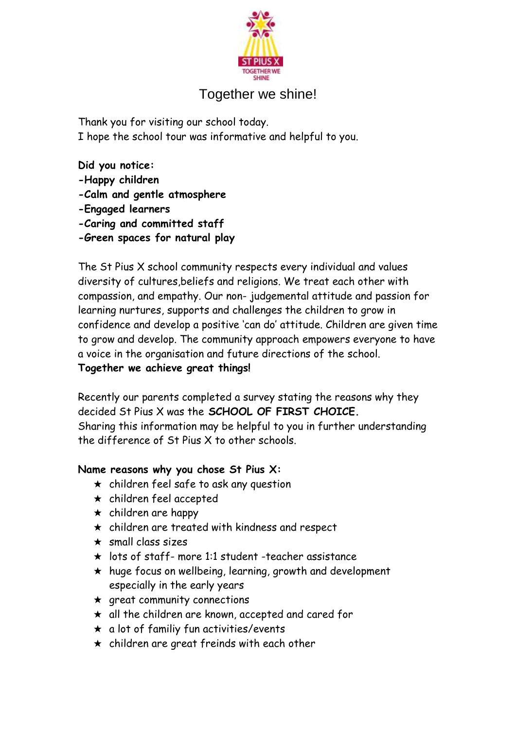

# Together we shine!

Thank you for visiting our school today. I hope the school tour was informative and helpful to you.

**Did you notice: -Happy children -Calm and gentle atmosphere -Engaged learners -Caring and committed staff -Green spaces for natural play** 

The St Pius X school community respects every individual and values diversity of cultures,beliefs and religions. We treat each other with compassion, and empathy. Our non- judgemental attitude and passion for learning nurtures, supports and challenges the children to grow in confidence and develop a positive 'can do' attitude. Children are given time to grow and develop. The community approach empowers everyone to have a voice in the organisation and future directions of the school.

## **Together we achieve great things!**

Recently our parents completed a survey stating the reasons why they decided St Pius X was the **SCHOOL OF FIRST CHOICE.**  Sharing this information may be helpful to you in further understanding the difference of St Pius X to other schools.

### **Name reasons why you chose St Pius X:**

- $\star$  children feel safe to ask any question
- $\star$  children feel accepted
- $\star$  children are happy
- ★ children are treated with kindness and respect
- $\star$  small class sizes
- $\star$  lots of staff- more 1:1 student -teacher assistance
- $\star$  huge focus on wellbeing, learning, growth and development especially in the early years
- $\star$  great community connections
- $\star$  all the children are known, accepted and cared for
- $\star$  a lot of familiy fun activities/events
- $\star$  children are great freinds with each other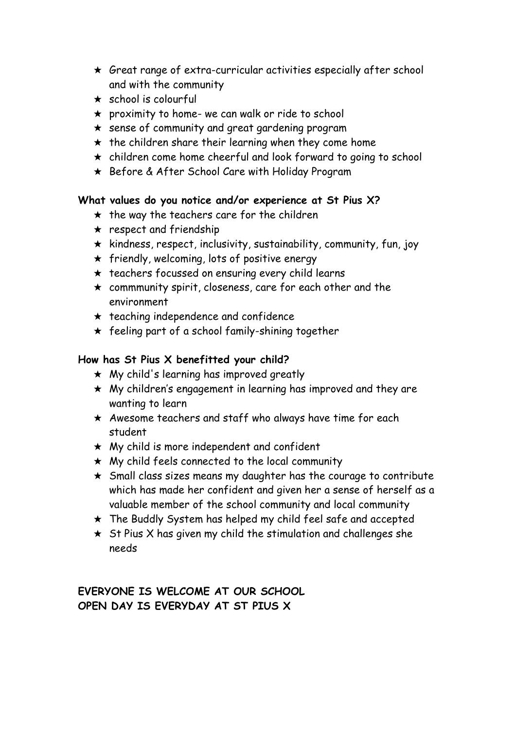- $\star$  Great range of extra-curricular activities especially after school and with the community
- $\star$  school is colourful
- $\star$  proximity to home- we can walk or ride to school
- ★ sense of community and great gardening program
- $\star$  the children share their learning when they come home
- ★ children come home cheerful and look forward to going to school
- ★ Before & After School Care with Holiday Program

#### **What values do you notice and/or experience at St Pius X?**

- $\star$  the way the teachers care for the children
- $\star$  respect and friendship
- $\star$  kindness, respect, inclusivity, sustainability, community, fun, joy
- $\star$  friendly, welcoming, lots of positive energy
- $\star$  teachers focussed on ensuring every child learns
- $\star$  commmunity spirit, closeness, care for each other and the environment
- $\star$  teaching independence and confidence
- $\star$  feeling part of a school family-shining together

### **How has St Pius X benefitted your child?**

- $\star$  My child's learning has improved greatly
- ★ My children's engagement in learning has improved and they are wanting to learn
- $\star$  Awesome teachers and staff who always have time for each student
- $\star$  My child is more independent and confident
- $\star$  My child feels connected to the local community
- ★ Small class sizes means my daughter has the courage to contribute which has made her confident and given her a sense of herself as a valuable member of the school community and local community
- ★ The Buddly System has helped my child feel safe and accepted
- $\star$  St Pius X has given my child the stimulation and challenges she needs

**EVERYONE IS WELCOME AT OUR SCHOOL OPEN DAY IS EVERYDAY AT ST PIUS X**